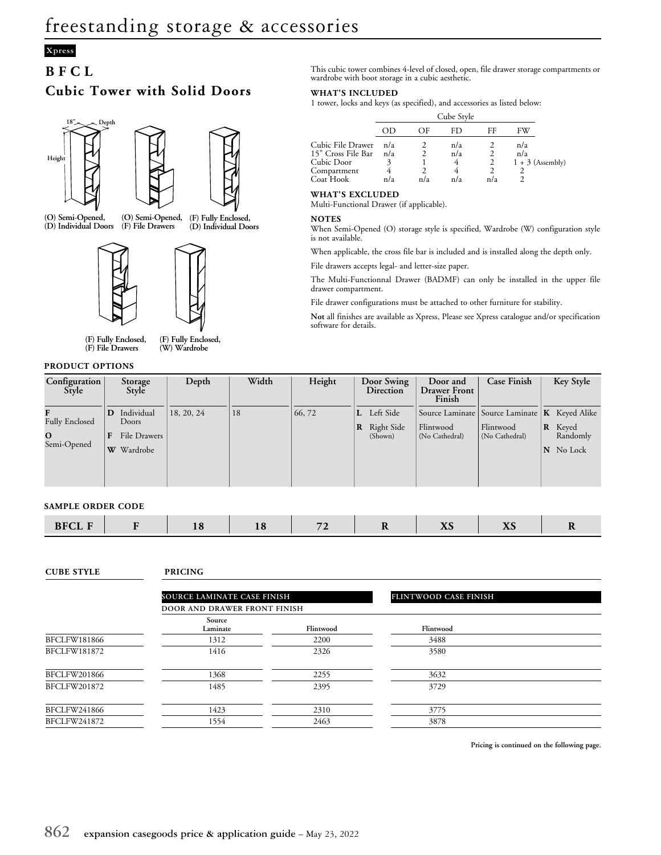# **Xpress**

## **BFCL**

# **Cubic Tower with Solid Doors**





**(D) Individual Doors**

**(O) Semi-Opened, (D) Individual Doors (O) Semi-Opened, (F) File Drawers (F) Fully Enclosed,**



**(F) Fully Enclosed, (F) File Drawers**

**(F) Fully Enclosed, (W) Wardrobe**

### **PRODUCT OPTIONS**

This cubic tower combines 4-level of closed, open, file drawer storage compartments or wardrobe with boot storage in a cubic aesthetic.

### **WHAT'S INCLUDED**

1 tower, locks and keys (as specified), and accessories as listed below:

|                                                                      |            |     | Cube Style      |     |                                  |
|----------------------------------------------------------------------|------------|-----|-----------------|-----|----------------------------------|
|                                                                      |            | ΩE  | FD.             | FF  | FW                               |
| Cubic File Drawer<br>15" Cross File Bar<br>Cubic Door<br>Compartment | n/a<br>n/a |     | n/a<br>n/a<br>4 |     | n/a<br>n/a<br>$1 + 3$ (Assembly) |
| Coat Hook                                                            | n/a        | n/a | n/a             | n/a |                                  |

### **WHAT'S EXCLUDED**

Multi-Functional Drawer (if applicable).

#### **NOTES**

When Semi-Opened (O) storage style is specified, Wardrobe (W) configuration style is not available.

When applicable, the cross file bar is included and is installed along the depth only.

File drawers accepts legal- and letter-size paper.

The Multi-Functionnal Drawer (BADMF) can only be installed in the upper file drawer compartment.

File drawer configurations must be attached to other furniture for stability.

**Not** all finishes are available as Xpress, Please see Xpress catalogue and/or specification software for details.

| Configuration<br>Style            | Storage<br>Style             | Depth      | Width | Height | Door Swing<br><b>Direction</b> | Door and<br><b>Drawer Front</b><br>Finish | Case Finish                                       | Key Style              |
|-----------------------------------|------------------------------|------------|-------|--------|--------------------------------|-------------------------------------------|---------------------------------------------------|------------------------|
|                                   | Individual                   | 18, 20, 24 | 18    | 66, 72 | Left Side<br>L.                |                                           | Source Laminate   Source Laminate   K Keyed Alike |                        |
| <b>Fully Enclosed</b><br>$\Omega$ | Doors<br><b>File Drawers</b> |            |       |        | Right Side<br> R<br>(Shown)    | Flintwood<br>(No Cathedral)               | Flintwood<br>(No Cathedral)                       | R<br>Keyed<br>Randomly |
| Semi-Opened                       | Wardrobe<br>W                |            |       |        |                                |                                           |                                                   | No Lock<br>N           |
|                                   |                              |            |       |        |                                |                                           |                                                   |                        |

## **SAMPLE ORDER CODE**

|  | $-DT$ |  | ___ |  |  | $\sim$ | $\mathbf{v}$<br>$\sim$ | $\mathbf{r}$<br>$\sim$ |  |
|--|-------|--|-----|--|--|--------|------------------------|------------------------|--|
|--|-------|--|-----|--|--|--------|------------------------|------------------------|--|

#### **CUBE STYLE PRICING**

|              | SOURCE LAMINATE CASE FINISH<br>DOOR AND DRAWER FRONT FINISH |           | <b>FLINTWOOD CASE FINISH</b> |  |  |
|--------------|-------------------------------------------------------------|-----------|------------------------------|--|--|
|              | Source<br>Laminate                                          | Flintwood | Flintwood                    |  |  |
| BFCLFW181866 | 1312                                                        | 2200      | 3488                         |  |  |
| BFCLFW181872 | 1416                                                        | 2326      | 3580                         |  |  |
| BFCLFW201866 | 1368                                                        | 2255      | 3632                         |  |  |
| BFCLFW201872 | 1485                                                        | 2395      | 3729                         |  |  |
| BFCLFW241866 | 1423                                                        | 2310      | 3775                         |  |  |
| BFCLFW241872 | 1554                                                        | 2463      | 3878                         |  |  |

**Pricing is continued on the following page.**